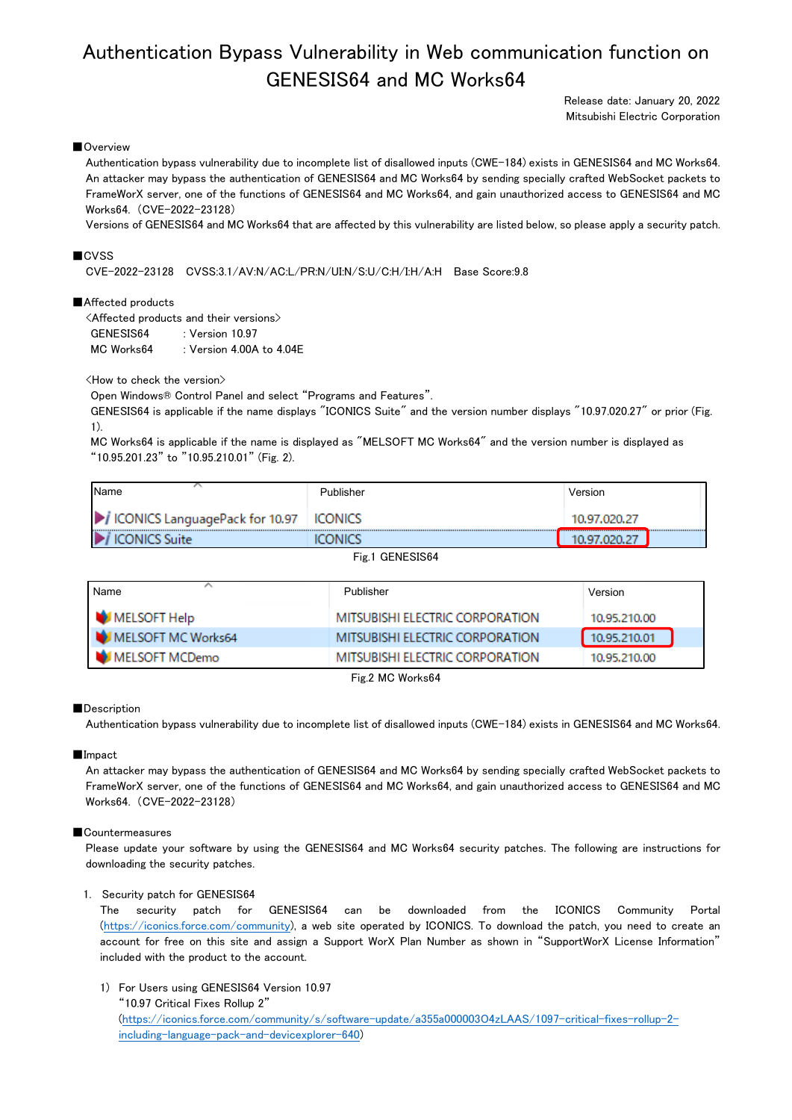# Authentication Bypass Vulnerability in Web communication function on GENESIS64 and MC Works64

Release date: January 20, 2022 Mitsubishi Electric Corporation

# ■Overview

Authentication bypass vulnerability due to incomplete list of disallowed inputs (CWE-184) exists in GENESIS64 and MC Works64. An attacker may bypass the authentication of GENESIS64 and MC Works64 by sending specially crafted WebSocket packets to FrameWorX server, one of the functions of GENESIS64 and MC Works64, and gain unauthorized access to GENESIS64 and MC Works64. (CVE-2022-23128)

Versions of GENESIS64 and MC Works64 that are affected by this vulnerability are listed below, so please apply a security patch.

# ■CVSS

CVE-2022-23128 CVSS:3.1/AV:N/AC:L/PR:N/UI:N/S:U/C:H/I:H/A:H Base Score:9.8

### ■Affected products

<Affected products and their versions> GENESIS64 : Version 10.97 MC Works64 : Version 4.00A to 4.04E

<How to check the version>

Open Windows® Control Panel and select "Programs and Features".

GENESIS64 is applicable if the name displays "ICONICS Suite" and the version number displays "10.97.020.27" or prior (Fig. 1).

MC Works64 is applicable if the name is displayed as "MELSOFT MC Works64" and the version number is displayed as "10.95.201.23" to "10.95.210.01" (Fig. 2).

| ICONICS LanguagePack for 10.97   ICONICS            |                  | 10.97.020.27 |  |
|-----------------------------------------------------|------------------|--------------|--|
| <br>$\blacktriangleright$ i<br><b>ICONICS Suite</b> | <br><b>PNICS</b> |              |  |

Fig.1 GENESIS64

| Name               | Publisher                       | Version      |
|--------------------|---------------------------------|--------------|
| MELSOFT Help       | MITSUBISHI ELECTRIC CORPORATION | 10.95.210.00 |
| MELSOFT MC Works64 | MITSUBISHI ELECTRIC CORPORATION | 10.95.210.01 |
| MELSOFT MCDemo     | MITSUBISHI ELECTRIC CORPORATION | 10.95.210.00 |

Fig.2 MC Works64

#### ■Description

Authentication bypass vulnerability due to incomplete list of disallowed inputs (CWE-184) exists in GENESIS64 and MC Works64.

#### ■Impact

An attacker may bypass the authentication of GENESIS64 and MC Works64 by sending specially crafted WebSocket packets to FrameWorX server, one of the functions of GENESIS64 and MC Works64, and gain unauthorized access to GENESIS64 and MC Works64. (CVE-2022-23128)

#### ■Countermeasures

Please update your software by using the GENESIS64 and MC Works64 security patches. The following are instructions for downloading the security patches.

#### 1. Security patch for GENESIS64

The security patch for GENESIS64 can be downloaded from the ICONICS Community Portal [\(https://iconics.force.com/community\)](https://iconics.force.com/community), a web site operated by ICONICS. To download the patch, you need to create an account for free on this site and assign a Support WorX Plan Number as shown in "SupportWorX License Information" included with the product to the account.

1) For Users using GENESIS64 Version 10.97

"10.97 Critical Fixes Rollup 2" [\(https://iconics.force.com/community/s/software-update/a355a000003O4zLAAS/1097-critical-fixes-rollup-2](https://iconics.force.com/community/s/software-update/a355a000003O4zLAAS/1097-critical-fixes-rollup-2-including-language-pack-and-devicexplorer-640) [including-language-pack-and-devicexplorer-640\)](https://iconics.force.com/community/s/software-update/a355a000003O4zLAAS/1097-critical-fixes-rollup-2-including-language-pack-and-devicexplorer-640)